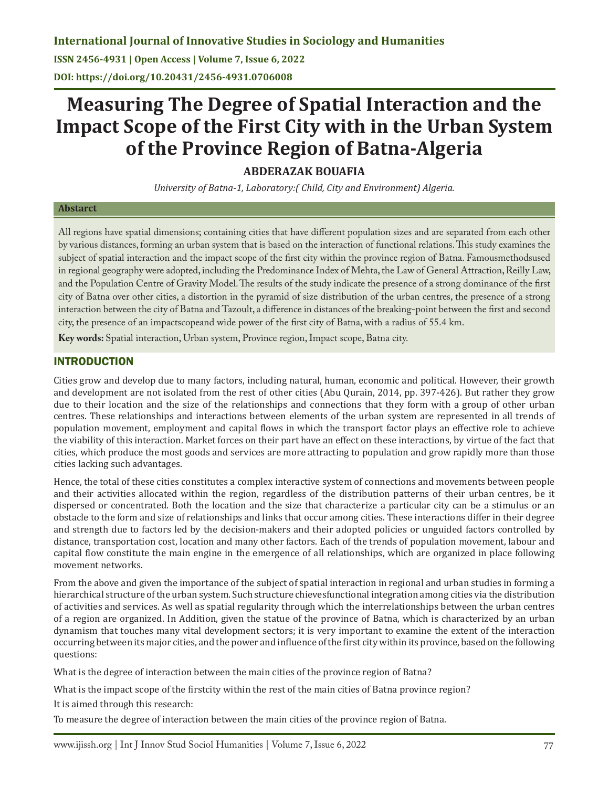**ISSN 2456-4931 | Open Access | Volume 7, Issue 6, 2022 DOI: https://doi.org/10.20431/2456-4931.0706008**

# **Measuring The Degree of Spatial Interaction and the Impact Scope of the First City with in the Urban System of the Province Region of Batna-Algeria**

**ABDERAZAK BOUAFIA**

*University of Batna-1, Laboratory:( Child, City and Environment) Algeria.*

#### **Abstarct**

All regions have spatial dimensions; containing cities that have different population sizes and are separated from each other by various distances, forming an urban system that is based on the interaction of functional relations. This study examines the subject of spatial interaction and the impact scope of the first city within the province region of Batna. Famousmethodsused in regional geography were adopted, including the Predominance Index of Mehta, the Law of General Attraction, Reilly Law, and the Population Centre of Gravity Model. The results of the study indicate the presence of a strong dominance of the first city of Batna over other cities, a distortion in the pyramid of size distribution of the urban centres, the presence of a strong interaction between the city of Batna and Tazoult, a difference in distances of the breaking-point between the first and second city, the presence of an impactscopeand wide power of the first city of Batna, with a radius of 55.4 km.

**Key words:** Spatial interaction, Urban system, Province region, Impact scope, Batna city.

### INTRODUCTION

Cities grow and develop due to many factors, including natural, human, economic and political. However, their growth and development are not isolated from the rest of other cities (Abu Qurain, 2014, pp. 397-426). But rather they grow due to their location and the size of the relationships and connections that they form with a group of other urban centres. These relationships and interactions between elements of the urban system are represented in all trends of population movement, employment and capital flows in which the transport factor plays an effective role to achieve the viability of this interaction. Market forces on their part have an effect on these interactions, by virtue of the fact that cities, which produce the most goods and services are more attracting to population and grow rapidly more than those cities lacking such advantages.

Hence, the total of these cities constitutes a complex interactive system of connections and movements between people and their activities allocated within the region, regardless of the distribution patterns of their urban centres, be it dispersed or concentrated. Both the location and the size that characterize a particular city can be a stimulus or an obstacle to the form and size of relationships and links that occur among cities. These interactions differ in their degree and strength due to factors led by the decision-makers and their adopted policies or unguided factors controlled by distance, transportation cost, location and many other factors. Each of the trends of population movement, labour and capital flow constitute the main engine in the emergence of all relationships, which are organized in place following movement networks.

From the above and given the importance of the subject of spatial interaction in regional and urban studies in forming a hierarchical structure of the urban system. Such structure chievesfunctional integration among cities via the distribution of activities and services. As well as spatial regularity through which the interrelationships between the urban centres of a region are organized. In Addition, given the statue of the province of Batna, which is characterized by an urban dynamism that touches many vital development sectors; it is very important to examine the extent of the interaction occurring between its major cities, and the power and influence of the first city within its province, based on the following questions:

What is the degree of interaction between the main cities of the province region of Batna?

What is the impact scope of the firstcity within the rest of the main cities of Batna province region?

It is aimed through this research:

To measure the degree of interaction between the main cities of the province region of Batna.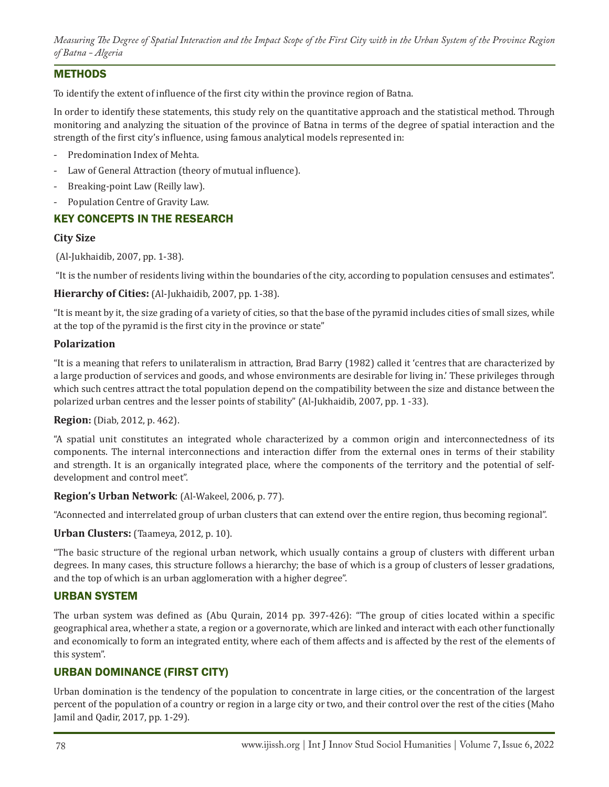### METHODS

To identify the extent of influence of the first city within the province region of Batna.

In order to identify these statements, this study rely on the quantitative approach and the statistical method. Through monitoring and analyzing the situation of the province of Batna in terms of the degree of spatial interaction and the strength of the first city's influence, using famous analytical models represented in:

- Predomination Index of Mehta.
- Law of General Attraction (theory of mutual influence).
- Breaking-point Law (Reilly law).
- Population Centre of Gravity Law.

# KEY CONCEPTS IN THE RESEARCH

#### **City Size**

(Al-Jukhaidib, 2007, pp. 1-38).

"It is the number of residents living within the boundaries of the city, according to population censuses and estimates".

#### **Hierarchy of Cities:** (Al-Jukhaidib, 2007, pp. 1-38).

"It is meant by it, the size grading of a variety of cities, so that the base of the pyramid includes cities of small sizes, while at the top of the pyramid is the first city in the province or state"

#### **Polarization**

"It is a meaning that refers to unilateralism in attraction, Brad Barry (1982) called it 'centres that are characterized by a large production of services and goods, and whose environments are desirable for living in.' These privileges through which such centres attract the total population depend on the compatibility between the size and distance between the polarized urban centres and the lesser points of stability" (Al-Jukhaidib, 2007, pp. 1 -33).

#### **Region:** (Diab, 2012, p. 462).

"A spatial unit constitutes an integrated whole characterized by a common origin and interconnectedness of its components. The internal interconnections and interaction differ from the external ones in terms of their stability and strength. It is an organically integrated place, where the components of the territory and the potential of selfdevelopment and control meet".

#### **Region's Urban Network**: (Al-Wakeel, 2006, p. 77).

"Aconnected and interrelated group of urban clusters that can extend over the entire region, thus becoming regional".

#### **Urban Clusters:** (Taameya, 2012, p. 10).

"The basic structure of the regional urban network, which usually contains a group of clusters with different urban degrees. In many cases, this structure follows a hierarchy; the base of which is a group of clusters of lesser gradations, and the top of which is an urban agglomeration with a higher degree".

#### URBAN SYSTEM

The urban system was defined as (Abu Qurain, 2014 pp. 397-426): "The group of cities located within a specific geographical area, whether a state, a region or a governorate, which are linked and interact with each other functionally and economically to form an integrated entity, where each of them affects and is affected by the rest of the elements of this system".

# URBAN DOMINANCE (FIRST CITY)

Urban domination is the tendency of the population to concentrate in large cities, or the concentration of the largest percent of the population of a country or region in a large city or two, and their control over the rest of the cities (Maho Jamil and Qadir, 2017, pp. 1-29).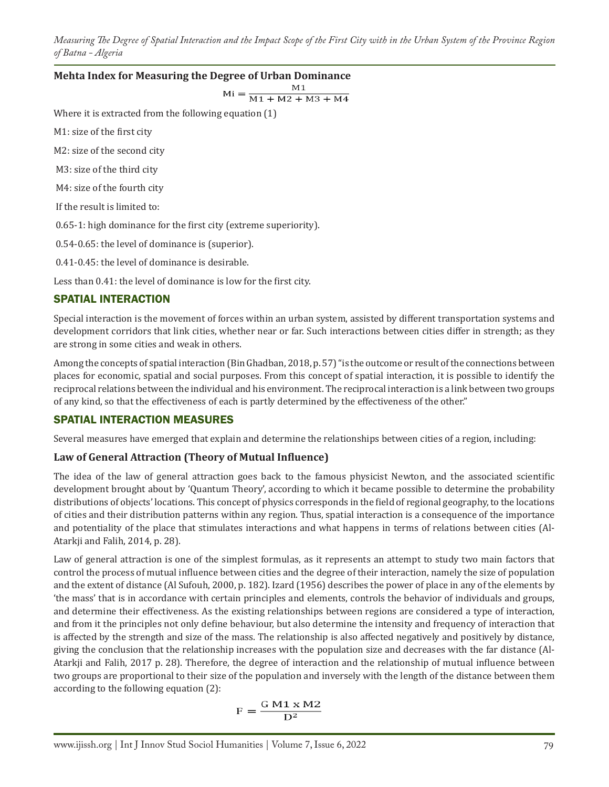# **Mehta Index for Measuring the Degree of Urban Dominance**<br> $Mi = \frac{M1}{M1 + M2 + M3 + M4}$

Where it is extracted from the following equation (1)

M1: size of the first city

M2: size of the second city

M3: size of the third city

M4: size of the fourth city

If the result is limited to:

0.65-1: high dominance for the first city (extreme superiority).

0.54-0.65: the level of dominance is (superior).

0.41-0.45: the level of dominance is desirable.

Less than 0.41: the level of dominance is low for the first city.

#### SPATIAL INTERACTION

Special interaction is the movement of forces within an urban system, assisted by different transportation systems and development corridors that link cities, whether near or far. Such interactions between cities differ in strength; as they are strong in some cities and weak in others.

Among the concepts of spatial interaction (Bin Ghadban, 2018, p. 57) "is the outcome or result of the connections between places for economic, spatial and social purposes. From this concept of spatial interaction, it is possible to identify the reciprocal relations between the individual and his environment. The reciprocal interaction is a link between two groups of any kind, so that the effectiveness of each is partly determined by the effectiveness of the other."

#### SPATIAL INTERACTION MEASURES

Several measures have emerged that explain and determine the relationships between cities of a region, including:

#### **Law of General Attraction (Theory of Mutual Influence)**

The idea of the law of general attraction goes back to the famous physicist Newton, and the associated scientific development brought about by 'Quantum Theory', according to which it became possible to determine the probability distributions of objects' locations. This concept of physics corresponds in the field of regional geography, to the locations of cities and their distribution patterns within any region. Thus, spatial interaction is a consequence of the importance and potentiality of the place that stimulates interactions and what happens in terms of relations between cities (Al-Atarkji and Falih, 2014, p. 28).

Law of general attraction is one of the simplest formulas, as it represents an attempt to study two main factors that control the process of mutual influence between cities and the degree of their interaction, namely the size of population and the extent of distance (Al Sufouh, 2000, p. 182). Izard (1956) describes the power of place in any of the elements by 'the mass' that is in accordance with certain principles and elements, controls the behavior of individuals and groups, and determine their effectiveness. As the existing relationships between regions are considered a type of interaction, and from it the principles not only define behaviour, but also determine the intensity and frequency of interaction that is affected by the strength and size of the mass. The relationship is also affected negatively and positively by distance, giving the conclusion that the relationship increases with the population size and decreases with the far distance (Al-Atarkji and Falih, 2017 p. 28). Therefore, the degree of interaction and the relationship of mutual influence between two groups are proportional to their size of the population and inversely with the length of the distance between them according to the following equation (2):

$$
F = \frac{G M1 \times M2}{D^2}
$$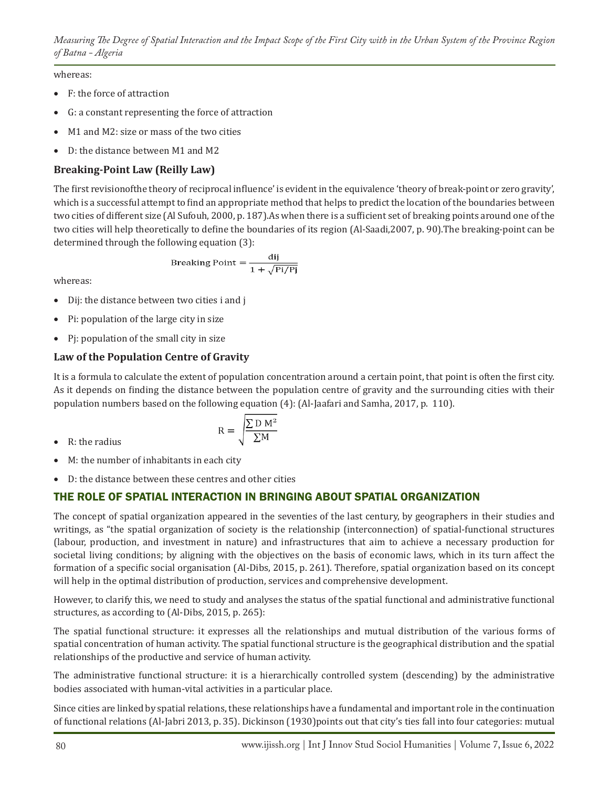# whereas:

- • F: the force of attraction
- G: a constant representing the force of attraction
- M1 and M2: size or mass of the two cities
- D: the distance between M1 and M2

# **Breaking-Point Law (Reilly Law)**

The first revisionofthe theory of reciprocal influence' is evident in the equivalence 'theory of break-point or zero gravity', which is a successful attempt to find an appropriate method that helps to predict the location of the boundaries between two cities of different size (Al Sufouh, 2000, p. 187).As when there is a sufficient set of breaking points around one of the two cities will help theoretically to define the boundaries of its region (Al-Saadi,2007, p. 90).The breaking-point can be determined through the following equation (3):

Breaking Point = 
$$
\frac{dij}{1 + \sqrt{Pi/Pj}}
$$

whereas:

- Dij: the distance between two cities i and j
- Pi: population of the large city in size
- Pi: population of the small city in size

# **Law of the Population Centre of Gravity**

It is a formula to calculate the extent of population concentration around a certain point, that point is often the first city. As it depends on finding the distance between the population centre of gravity and the surrounding cities with their population numbers based on the following equation (4): (Al-Jaafari and Samha, 2017, p. 110).

• R: the radius

$$
R = \sqrt{\frac{\sum D M^2}{\sum M}}
$$

- M: the number of inhabitants in each city
- • D: the distance between these centres and other cities

# THE ROLE OF SPATIAL INTERACTION IN BRINGING ABOUT SPATIAL ORGANIZATION

The concept of spatial organization appeared in the seventies of the last century, by geographers in their studies and writings, as "the spatial organization of society is the relationship (interconnection) of spatial-functional structures (labour, production, and investment in nature) and infrastructures that aim to achieve a necessary production for societal living conditions; by aligning with the objectives on the basis of economic laws, which in its turn affect the formation of a specific social organisation (Al-Dibs, 2015, p. 261). Therefore, spatial organization based on its concept will help in the optimal distribution of production, services and comprehensive development.

However, to clarify this, we need to study and analyses the status of the spatial functional and administrative functional structures, as according to (Al-Dibs, 2015, p. 265):

The spatial functional structure: it expresses all the relationships and mutual distribution of the various forms of spatial concentration of human activity. The spatial functional structure is the geographical distribution and the spatial relationships of the productive and service of human activity.

The administrative functional structure: it is a hierarchically controlled system (descending) by the administrative bodies associated with human-vital activities in a particular place.

Since cities are linked by spatial relations, these relationships have a fundamental and important role in the continuation of functional relations (Al-Jabri 2013, p. 35). Dickinson (1930)points out that city's ties fall into four categories: mutual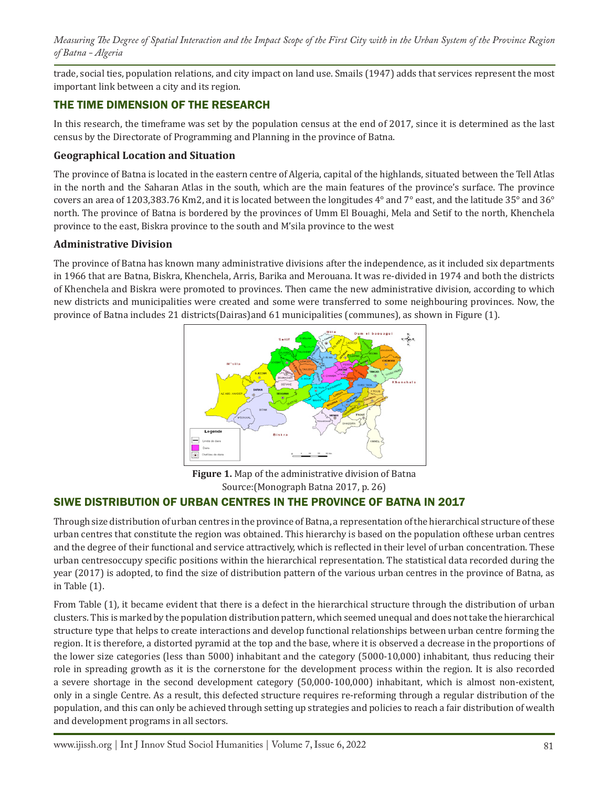trade, social ties, population relations, and city impact on land use. Smails (1947) adds that services represent the most important link between a city and its region.

# THE TIME DIMENSION OF THE RESEARCH

In this research, the timeframe was set by the population census at the end of 2017, since it is determined as the last census by the Directorate of Programming and Planning in the province of Batna.

#### **Geographical Location and Situation**

The province of Batna is located in the eastern centre of Algeria, capital of the highlands, situated between the Tell Atlas in the north and the Saharan Atlas in the south, which are the main features of the province's surface. The province covers an area of 1203,383.76 Km2, and it is located between the longitudes 4° and 7° east, and the latitude 35° and 36° north. The province of Batna is bordered by the provinces of Umm El Bouaghi, Mela and Setif to the north, Khenchela province to the east, Biskra province to the south and M'sila province to the west

#### **Administrative Division**

The province of Batna has known many administrative divisions after the independence, as it included six departments in 1966 that are Batna, Biskra, Khenchela, Arris, Barika and Merouana. It was re-divided in 1974 and both the districts of Khenchela and Biskra were promoted to provinces. Then came the new administrative division, according to which new districts and municipalities were created and some were transferred to some neighbouring provinces. Now, the province of Batna includes 21 districts(Dairas)and 61 municipalities (communes), as shown in Figure (1).



**Figure 1.** Map of the administrative division of Batna Source:(Monograph Batna 2017, p. 26)

#### SIWE DISTRIBUTION OF URBAN CENTRES IN THE PROVINCE OF BATNA IN 2017

Through size distribution of urban centres in the province of Batna, a representation of the hierarchical structure of these urban centres that constitute the region was obtained. This hierarchy is based on the population ofthese urban centres and the degree of their functional and service attractively, which is reflected in their level of urban concentration. These urban centresoccupy specific positions within the hierarchical representation. The statistical data recorded during the year (2017) is adopted, to find the size of distribution pattern of the various urban centres in the province of Batna, as in Table (1).

From Table (1), it became evident that there is a defect in the hierarchical structure through the distribution of urban clusters. This is marked by the population distribution pattern, which seemed unequal and does not take the hierarchical structure type that helps to create interactions and develop functional relationships between urban centre forming the region. It is therefore, a distorted pyramid at the top and the base, where it is observed a decrease in the proportions of the lower size categories (less than 5000) inhabitant and the category (5000-10,000) inhabitant, thus reducing their role in spreading growth as it is the cornerstone for the development process within the region. It is also recorded a severe shortage in the second development category (50,000-100,000) inhabitant, which is almost non-existent, only in a single Centre. As a result, this defected structure requires re-reforming through a regular distribution of the population, and this can only be achieved through setting up strategies and policies to reach a fair distribution of wealth and development programs in all sectors.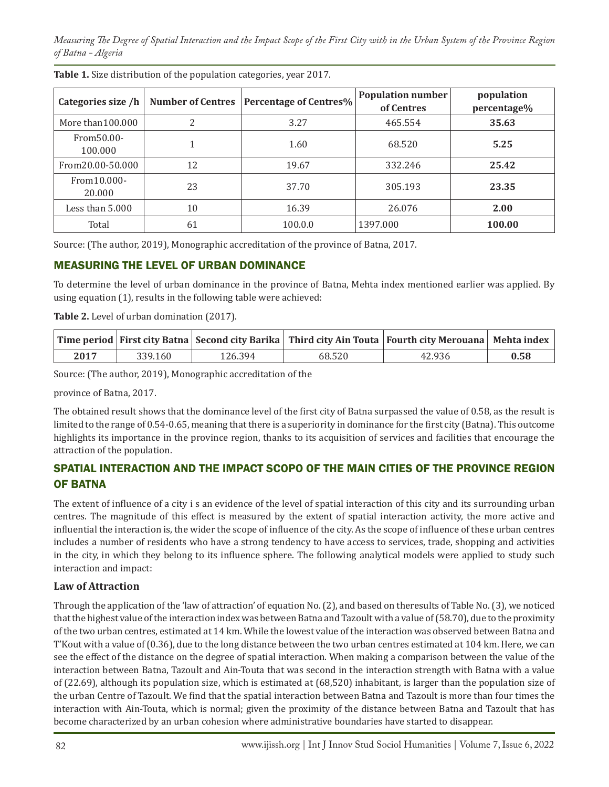| Categories size /h     | <b>Number of Centres</b> | <b>Percentage of Centres%</b> | <b>Population number</b><br>of Centres | population<br>percentage% |
|------------------------|--------------------------|-------------------------------|----------------------------------------|---------------------------|
| More than 100.000      | 2                        | 3.27                          | 465.554                                | 35.63                     |
| From 50.00-<br>100.000 |                          | 1.60                          | 68.520                                 | 5.25                      |
| From 20.00-50.000      | 12                       | 19.67                         | 332.246                                | 25.42                     |
| From 10.000-<br>20.000 | 23                       | 37.70                         | 305.193                                | 23.35                     |
| Less than 5.000        | 10                       | 16.39                         | 26.076                                 | 2.00                      |
| Total                  | 61                       | 100.0.0                       | 1397.000                               | 100.00                    |

**Table 1.** Size distribution of the population categories, year 2017.

Source: (The author, 2019), Monographic accreditation of the province of Batna, 2017.

### MEASURING THE LEVEL OF URBAN DOMINANCE

To determine the level of urban dominance in the province of Batna, Mehta index mentioned earlier was applied. By using equation (1), results in the following table were achieved:

**Table 2.** Level of urban domination (2017).

|      |         |         |        | Time period   First city Batna   Second city Barika   Third city Ain Touta   Fourth city Merouana   Mehta index |      |
|------|---------|---------|--------|-----------------------------------------------------------------------------------------------------------------|------|
| 2017 | 339.160 | 126.394 | 68.520 | 42.936                                                                                                          | 0.58 |

Source: (The author, 2019), Monographic accreditation of the

province of Batna, 2017.

The obtained result shows that the dominance level of the first city of Batna surpassed the value of 0.58, as the result is limited to the range of 0.54-0.65, meaning that there is a superiority in dominance for the first city (Batna). This outcome highlights its importance in the province region, thanks to its acquisition of services and facilities that encourage the attraction of the population.

# SPATIAL INTERACTION AND THE IMPACT SCOPO OF THE MAIN CITIES OF THE PROVINCE REGION OF BATNA

The extent of influence of a city i s an evidence of the level of spatial interaction of this city and its surrounding urban centres. The magnitude of this effect is measured by the extent of spatial interaction activity, the more active and influential the interaction is, the wider the scope of influence of the city. As the scope of influence of these urban centres includes a number of residents who have a strong tendency to have access to services, trade, shopping and activities in the city, in which they belong to its influence sphere. The following analytical models were applied to study such interaction and impact:

#### **Law of Attraction**

Through the application of the 'law of attraction' of equation No. (2), and based on theresults of Table No. (3), we noticed that the highest value of the interaction index was between Batna and Tazoult with a value of (58.70), due to the proximity of the two urban centres, estimated at 14 km. While the lowest value of the interaction was observed between Batna and T'Kout with a value of (0.36), due to the long distance between the two urban centres estimated at 104 km. Here, we can see the effect of the distance on the degree of spatial interaction. When making a comparison between the value of the interaction between Batna, Tazoult and Ain-Touta that was second in the interaction strength with Batna with a value of (22.69), although its population size, which is estimated at (68,520) inhabitant, is larger than the population size of the urban Centre of Tazoult. We find that the spatial interaction between Batna and Tazoult is more than four times the interaction with Ain-Touta, which is normal; given the proximity of the distance between Batna and Tazoult that has become characterized by an urban cohesion where administrative boundaries have started to disappear.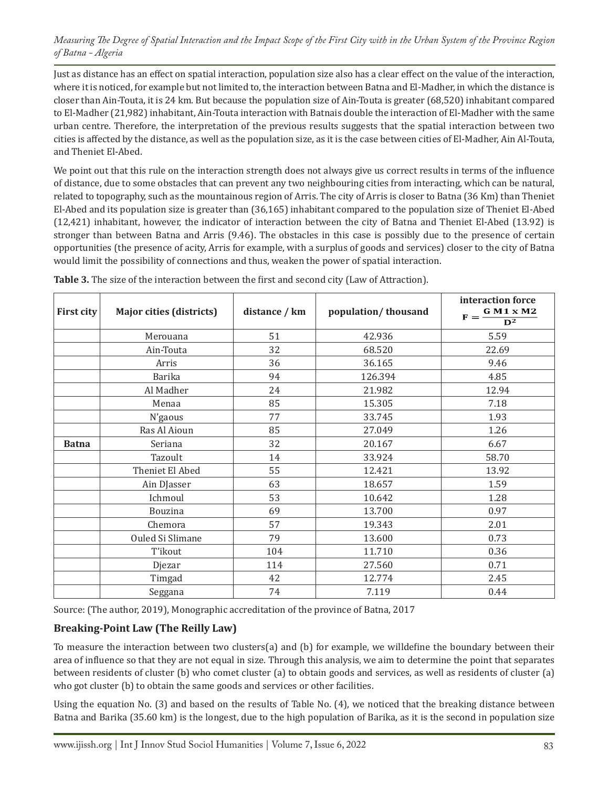Just as distance has an effect on spatial interaction, population size also has a clear effect on the value of the interaction, where it is noticed, for example but not limited to, the interaction between Batna and El-Madher, in which the distance is closer than Ain-Touta, it is 24 km. But because the population size of Ain-Touta is greater (68,520) inhabitant compared to El-Madher (21,982) inhabitant, Ain-Touta interaction with Batnais double the interaction of El-Madher with the same urban centre. Therefore, the interpretation of the previous results suggests that the spatial interaction between two cities is affected by the distance, as well as the population size, as it is the case between cities of El-Madher, Ain Al-Touta, and Theniet El-Abed.

We point out that this rule on the interaction strength does not always give us correct results in terms of the influence of distance, due to some obstacles that can prevent any two neighbouring cities from interacting, which can be natural, related to topography, such as the mountainous region of Arris. The city of Arris is closer to Batna (36 Km) than Theniet El-Abed and its population size is greater than (36,165) inhabitant compared to the population size of Theniet El-Abed (12,421) inhabitant, however, the indicator of interaction between the city of Batna and Theniet El-Abed (13.92) is stronger than between Batna and Arris (9.46). The obstacles in this case is possibly due to the presence of certain opportunities (the presence of acity, Arris for example, with a surplus of goods and services) closer to the city of Batna would limit the possibility of connections and thus, weaken the power of spatial interaction.

| <b>First city</b> | <b>Major cities (districts)</b> | distance / km | population/thousand | interaction force<br>G M1 x M2<br>$F =$<br>$\overline{\mathbf{D}^2}$ |
|-------------------|---------------------------------|---------------|---------------------|----------------------------------------------------------------------|
|                   | Merouana                        | 51            | 42.936              | 5.59                                                                 |
|                   | Ain-Touta                       | 32            | 68.520              | 22.69                                                                |
|                   | Arris                           | 36            | 36.165              | 9.46                                                                 |
|                   | <b>Barika</b>                   | 94            | 126.394             | 4.85                                                                 |
|                   | Al Madher                       | 24            | 21.982              | 12.94                                                                |
|                   | Menaa                           | 85            | 15.305              | 7.18                                                                 |
|                   | N'gaous                         | 77            | 33.745              | 1.93                                                                 |
|                   | Ras Al Aioun                    | 85            | 27.049              | 1.26                                                                 |
| <b>Batna</b>      | Seriana                         | 32            | 20.167              | 6.67                                                                 |
|                   | Tazoult                         | 14            | 33.924              | 58.70                                                                |
|                   | Theniet El Abed                 | 55            | 12.421              | 13.92                                                                |
|                   | Ain DJasser                     | 63            | 18.657              | 1.59                                                                 |
|                   | Ichmoul                         | 53            | 10.642              | 1.28                                                                 |
|                   | Bouzina                         | 69            | 13.700              | 0.97                                                                 |
|                   | Chemora                         | 57            | 19.343              | 2.01                                                                 |
|                   | Ouled Si Slimane                | 79            | 13.600              | 0.73                                                                 |
|                   | T'ikout                         | 104           | 11.710              | 0.36                                                                 |
|                   | Djezar                          | 114           | 27.560              | 0.71                                                                 |
|                   | Timgad                          | 42            | 12.774              | 2.45                                                                 |
|                   | Seggana                         | 74            | 7.119               | 0.44                                                                 |

**Table 3.** The size of the interaction between the first and second city (Law of Attraction).

Source: (The author, 2019), Monographic accreditation of the province of Batna, 2017

#### **Breaking-Point Law (The Reilly Law)**

To measure the interaction between two clusters(a) and (b) for example, we willdefine the boundary between their area of influence so that they are not equal in size. Through this analysis, we aim to determine the point that separates between residents of cluster (b) who comet cluster (a) to obtain goods and services, as well as residents of cluster (a) who got cluster (b) to obtain the same goods and services or other facilities.

Using the equation No. (3) and based on the results of Table No. (4), we noticed that the breaking distance between Batna and Barika (35.60 km) is the longest, due to the high population of Barika, as it is the second in population size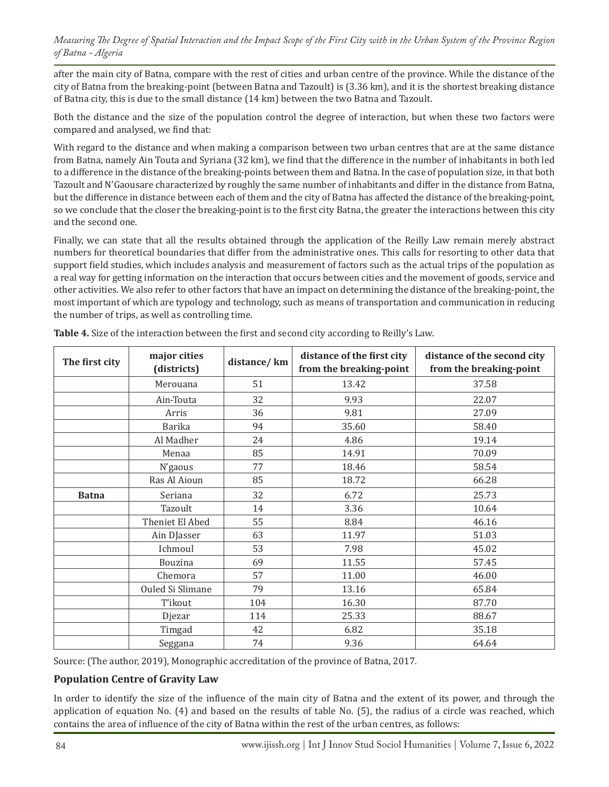after the main city of Batna, compare with the rest of cities and urban centre of the province. While the distance of the city of Batna from the breaking-point (between Batna and Tazoult) is (3.36 km), and it is the shortest breaking distance of Batna city, this is due to the small distance (14 km) between the two Batna and Tazoult.

Both the distance and the size of the population control the degree of interaction, but when these two factors were compared and analysed, we find that:

With regard to the distance and when making a comparison between two urban centres that are at the same distance from Batna, namely Ain Touta and Syriana (32 km), we find that the difference in the number of inhabitants in both led to a difference in the distance of the breaking-points between them and Batna. In the case of population size, in that both Tazoult and N'Gaousare characterized by roughly the same number of inhabitants and differ in the distance from Batna, but the difference in distance between each of them and the city of Batna has affected the distance of the breaking-point, so we conclude that the closer the breaking-point is to the first city Batna, the greater the interactions between this city and the second one.

Finally, we can state that all the results obtained through the application of the Reilly Law remain merely abstract numbers for theoretical boundaries that differ from the administrative ones. This calls for resorting to other data that support field studies, which includes analysis and measurement of factors such as the actual trips of the population as a real way for getting information on the interaction that occurs between cities and the movement of goods, service and other activities. We also refer to other factors that have an impact on determining the distance of the breaking-point, the most important of which are typology and technology, such as means of transportation and communication in reducing the number of trips, as well as controlling time.

| The first city | major cities<br>(districts) | distance/km | distance of the first city<br>from the breaking-point | distance of the second city<br>from the breaking-point |
|----------------|-----------------------------|-------------|-------------------------------------------------------|--------------------------------------------------------|
|                | Merouana                    | 51          | 13.42                                                 | 37.58                                                  |
|                | Ain-Touta                   | 32          | 9.93                                                  | 22.07                                                  |
|                | Arris                       | 36          | 9.81                                                  | 27.09                                                  |
|                | <b>Barika</b>               | 94          | 35.60                                                 | 58.40                                                  |
|                | Al Madher                   | 24          | 4.86                                                  | 19.14                                                  |
|                | Menaa                       | 85          | 14.91                                                 | 70.09                                                  |
|                | N'gaous                     | 77          | 18.46                                                 | 58.54                                                  |
|                | Ras Al Aioun                | 85          | 18.72                                                 | 66.28                                                  |
| <b>Batna</b>   | Seriana                     | 32          | 6.72                                                  | 25.73                                                  |
|                | Tazoult                     | 14          | 3.36                                                  | 10.64                                                  |
|                | Theniet El Abed             | 55          | 8.84                                                  | 46.16                                                  |
|                | Ain DJasser                 | 63          | 11.97                                                 | 51.03                                                  |
|                | Ichmoul                     | 53          | 7.98                                                  | 45.02                                                  |
|                | Bouzina                     | 69          | 11.55                                                 | 57.45                                                  |
|                | Chemora                     | 57          | 11.00                                                 | 46.00                                                  |
|                | Ouled Si Slimane            | 79          | 13.16                                                 | 65.84                                                  |
|                | T'ikout                     | 104         | 16.30                                                 | 87.70                                                  |
|                | Djezar                      | 114         | 25.33                                                 | 88.67                                                  |
|                | Timgad                      | 42          | 6.82                                                  | 35.18                                                  |
|                | Seggana                     | 74          | 9.36                                                  | 64.64                                                  |

**Table 4.** Size of the interaction between the first and second city according to Reilly's Law.

Source: (The author, 2019), Monographic accreditation of the province of Batna, 2017.

#### **Population Centre of Gravity Law**

In order to identify the size of the influence of the main city of Batna and the extent of its power, and through the application of equation No. (4) and based on the results of table No. (5), the radius of a circle was reached, which contains the area of influence of the city of Batna within the rest of the urban centres, as follows: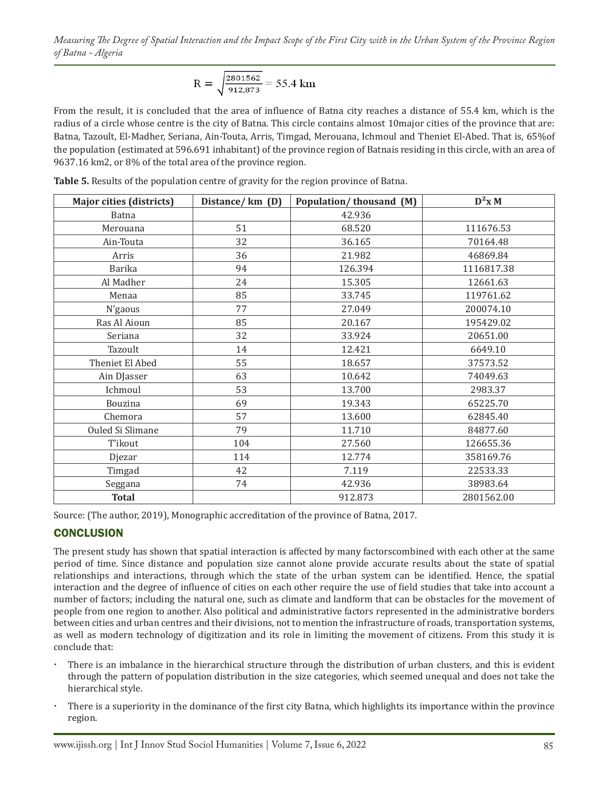$$
R = \sqrt{\frac{2801562}{912,873}} = 55.4 \text{ km}
$$

From the result, it is concluded that the area of influence of Batna city reaches a distance of 55.4 km, which is the radius of a circle whose centre is the city of Batna. This circle contains almost 10major cities of the province that are: Batna, Tazoult, El-Madher, Seriana, Ain-Touta, Arris, Timgad, Merouana, Ichmoul and Theniet El-Abed. That is, 65%of the population (estimated at 596.691 inhabitant) of the province region of Batnais residing in this circle, with an area of 9637.16 km2, or 8% of the total area of the province region.

| <b>Major cities (districts)</b> | Distance/km (D) | Population/thousand (M) | $D^2x M$   |
|---------------------------------|-----------------|-------------------------|------------|
| Batna                           |                 | 42.936                  |            |
| Merouana                        | 51              | 68.520                  | 111676.53  |
| Ain-Touta                       | 32              | 36.165                  | 70164.48   |
| Arris                           | 36              | 21.982                  | 46869.84   |
| <b>Barika</b>                   | 94              | 126.394                 | 1116817.38 |
| Al Madher                       | 24              | 15.305                  | 12661.63   |
| Menaa                           | 85              | 33.745                  | 119761.62  |
| N'gaous                         | 77              | 27.049                  | 200074.10  |
| Ras Al Aioun                    | 85              | 20.167                  | 195429.02  |
| Seriana                         | 32              | 33.924                  | 20651.00   |
| Tazoult                         | 14              | 12.421                  | 6649.10    |
| Theniet El Abed                 | 55              | 18.657                  | 37573.52   |
| Ain DJasser                     | 63              | 10.642                  | 74049.63   |
| Ichmoul                         | 53              | 13.700                  | 2983.37    |
| Bouzina                         | 69              | 19.343                  | 65225.70   |
| Chemora                         | 57              | 13.600                  | 62845.40   |
| Ouled Si Slimane                | 79              | 11.710                  | 84877.60   |
| T'ikout                         | 104             | 27.560                  | 126655.36  |
| Djezar                          | 114             | 12.774                  | 358169.76  |
| Timgad                          | 42              | 7.119                   | 22533.33   |
| Seggana                         | 74              | 42.936                  | 38983.64   |
| <b>Total</b>                    |                 | 912.873                 | 2801562.00 |

**Table 5.** Results of the population centre of gravity for the region province of Batna.

Source: (The author, 2019), Monographic accreditation of the province of Batna, 2017.

#### **CONCLUSION**

The present study has shown that spatial interaction is affected by many factorscombined with each other at the same period of time. Since distance and population size cannot alone provide accurate results about the state of spatial relationships and interactions, through which the state of the urban system can be identified. Hence, the spatial interaction and the degree of influence of cities on each other require the use of field studies that take into account a number of factors; including the natural one, such as climate and landform that can be obstacles for the movement of people from one region to another. Also political and administrative factors represented in the administrative borders between cities and urban centres and their divisions, not to mention the infrastructure of roads, transportation systems, as well as modern technology of digitization and its role in limiting the movement of citizens. From this study it is conclude that:

- There is an imbalance in the hierarchical structure through the distribution of urban clusters, and this is evident through the pattern of population distribution in the size categories, which seemed unequal and does not take the hierarchical style.
- There is a superiority in the dominance of the first city Batna, which highlights its importance within the province region.